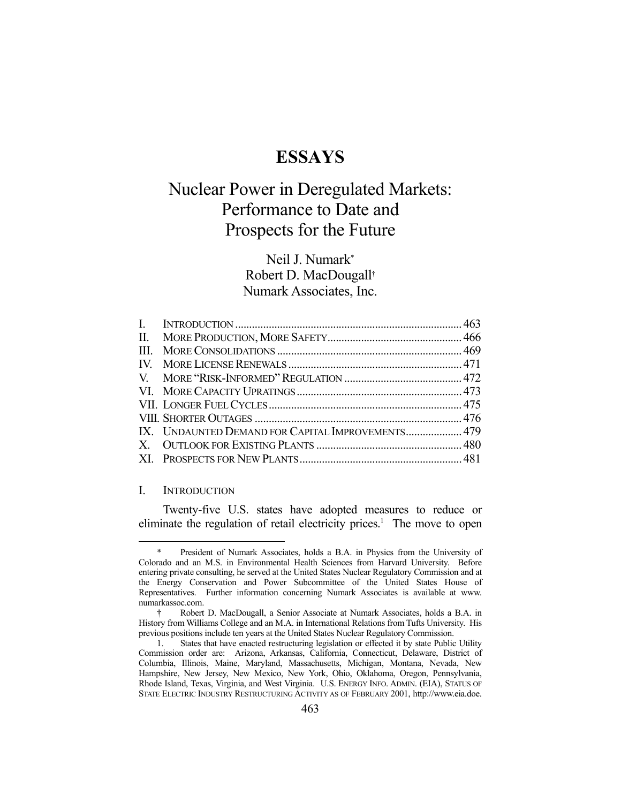## **ESSAYS**

# Nuclear Power in Deregulated Markets: Performance to Date and Prospects for the Future

### Neil J. Numark\* Robert D. MacDougall† Numark Associates, Inc.

| IX. UNDAUNTED DEMAND FOR CAPITAL IMPROVEMENTS 479 |  |
|---------------------------------------------------|--|
|                                                   |  |
|                                                   |  |

#### I. INTRODUCTION

1

 Twenty-five U.S. states have adopted measures to reduce or eliminate the regulation of retail electricity prices.<sup>1</sup> The move to open

President of Numark Associates, holds a B.A. in Physics from the University of Colorado and an M.S. in Environmental Health Sciences from Harvard University. Before entering private consulting, he served at the United States Nuclear Regulatory Commission and at the Energy Conservation and Power Subcommittee of the United States House of Representatives. Further information concerning Numark Associates is available at www. numarkassoc.com.

 <sup>†</sup> Robert D. MacDougall, a Senior Associate at Numark Associates, holds a B.A. in History from Williams College and an M.A. in International Relations from Tufts University. His previous positions include ten years at the United States Nuclear Regulatory Commission.

 <sup>1.</sup> States that have enacted restructuring legislation or effected it by state Public Utility Commission order are: Arizona, Arkansas, California, Connecticut, Delaware, District of Columbia, Illinois, Maine, Maryland, Massachusetts, Michigan, Montana, Nevada, New Hampshire, New Jersey, New Mexico, New York, Ohio, Oklahoma, Oregon, Pennsylvania, Rhode Island, Texas, Virginia, and West Virginia. U.S. ENERGY INFO. ADMIN. (EIA), STATUS OF STATE ELECTRIC INDUSTRY RESTRUCTURING ACTIVITY AS OF FEBRUARY 2001, http://www.eia.doe.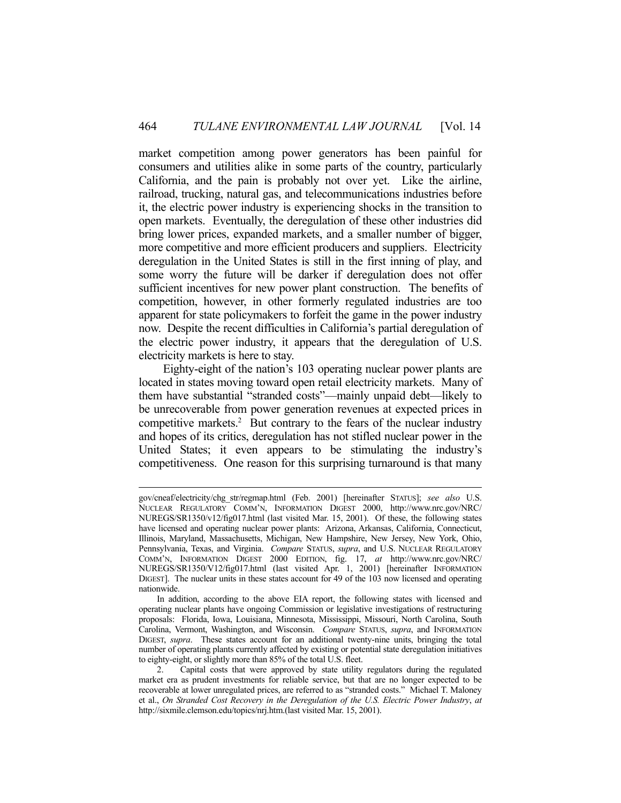market competition among power generators has been painful for consumers and utilities alike in some parts of the country, particularly California, and the pain is probably not over yet. Like the airline, railroad, trucking, natural gas, and telecommunications industries before it, the electric power industry is experiencing shocks in the transition to open markets. Eventually, the deregulation of these other industries did bring lower prices, expanded markets, and a smaller number of bigger, more competitive and more efficient producers and suppliers. Electricity deregulation in the United States is still in the first inning of play, and some worry the future will be darker if deregulation does not offer sufficient incentives for new power plant construction. The benefits of competition, however, in other formerly regulated industries are too apparent for state policymakers to forfeit the game in the power industry now. Despite the recent difficulties in California's partial deregulation of the electric power industry, it appears that the deregulation of U.S. electricity markets is here to stay.

 Eighty-eight of the nation's 103 operating nuclear power plants are located in states moving toward open retail electricity markets. Many of them have substantial "stranded costs"—mainly unpaid debt—likely to be unrecoverable from power generation revenues at expected prices in competitive markets.<sup>2</sup> But contrary to the fears of the nuclear industry and hopes of its critics, deregulation has not stifled nuclear power in the United States; it even appears to be stimulating the industry's competitiveness. One reason for this surprising turnaround is that many

gov/cneaf/electricity/chg\_str/regmap.html (Feb. 2001) [hereinafter STATUS]; *see also* U.S. NUCLEAR REGULATORY COMM'N, INFORMATION DIGEST 2000, http://www.nrc.gov/NRC/ NUREGS/SR1350/v12/fig017.html (last visited Mar. 15, 2001). Of these, the following states have licensed and operating nuclear power plants: Arizona, Arkansas, California, Connecticut, Illinois, Maryland, Massachusetts, Michigan, New Hampshire, New Jersey, New York, Ohio, Pennsylvania, Texas, and Virginia. *Compare* STATUS, *supra*, and U.S. NUCLEAR REGULATORY COMM'N, INFORMATION DIGEST 2000 EDITION, fig. 17, *at* http://www.nrc.gov/NRC/ NUREGS/SR1350/V12/fig017.html (last visited Apr. 1, 2001) [hereinafter INFORMATION DIGEST]. The nuclear units in these states account for 49 of the 103 now licensed and operating nationwide.

In addition, according to the above EIA report, the following states with licensed and operating nuclear plants have ongoing Commission or legislative investigations of restructuring proposals: Florida, Iowa, Louisiana, Minnesota, Mississippi, Missouri, North Carolina, South Carolina, Vermont, Washington, and Wisconsin. *Compare* STATUS, *supra*, and INFORMATION DIGEST, *supra*. These states account for an additional twenty-nine units, bringing the total number of operating plants currently affected by existing or potential state deregulation initiatives to eighty-eight, or slightly more than 85% of the total U.S. fleet.

 <sup>2.</sup> Capital costs that were approved by state utility regulators during the regulated market era as prudent investments for reliable service, but that are no longer expected to be recoverable at lower unregulated prices, are referred to as "stranded costs." Michael T. Maloney et al., *On Stranded Cost Recovery in the Deregulation of the U.S. Electric Power Industry*, *at* http://sixmile.clemson.edu/topics/nrj.htm.(last visited Mar. 15, 2001).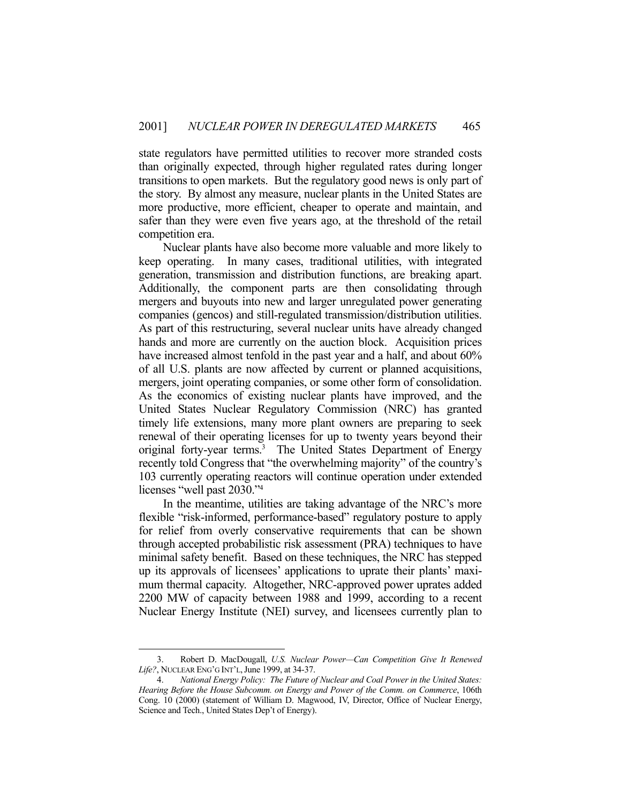state regulators have permitted utilities to recover more stranded costs than originally expected, through higher regulated rates during longer transitions to open markets. But the regulatory good news is only part of the story. By almost any measure, nuclear plants in the United States are more productive, more efficient, cheaper to operate and maintain, and safer than they were even five years ago, at the threshold of the retail competition era.

 Nuclear plants have also become more valuable and more likely to keep operating. In many cases, traditional utilities, with integrated generation, transmission and distribution functions, are breaking apart. Additionally, the component parts are then consolidating through mergers and buyouts into new and larger unregulated power generating companies (gencos) and still-regulated transmission/distribution utilities. As part of this restructuring, several nuclear units have already changed hands and more are currently on the auction block. Acquisition prices have increased almost tenfold in the past year and a half, and about 60% of all U.S. plants are now affected by current or planned acquisitions, mergers, joint operating companies, or some other form of consolidation. As the economics of existing nuclear plants have improved, and the United States Nuclear Regulatory Commission (NRC) has granted timely life extensions, many more plant owners are preparing to seek renewal of their operating licenses for up to twenty years beyond their original forty-year terms.<sup>3</sup> The United States Department of Energy recently told Congress that "the overwhelming majority" of the country's 103 currently operating reactors will continue operation under extended licenses "well past 2030."4

 In the meantime, utilities are taking advantage of the NRC's more flexible "risk-informed, performance-based" regulatory posture to apply for relief from overly conservative requirements that can be shown through accepted probabilistic risk assessment (PRA) techniques to have minimal safety benefit. Based on these techniques, the NRC has stepped up its approvals of licensees' applications to uprate their plants' maximum thermal capacity. Altogether, NRC-approved power uprates added 2200 MW of capacity between 1988 and 1999, according to a recent Nuclear Energy Institute (NEI) survey, and licensees currently plan to

 <sup>3.</sup> Robert D. MacDougall, *U.S. Nuclear Power—Can Competition Give It Renewed Life?*, NUCLEAR ENG'G INT'L,June 1999, at 34-37.

 <sup>4.</sup> *National Energy Policy: The Future of Nuclear and Coal Power in the United States: Hearing Before the House Subcomm. on Energy and Power of the Comm. on Commerce*, 106th Cong. 10 (2000) (statement of William D. Magwood, IV, Director, Office of Nuclear Energy, Science and Tech., United States Dep't of Energy).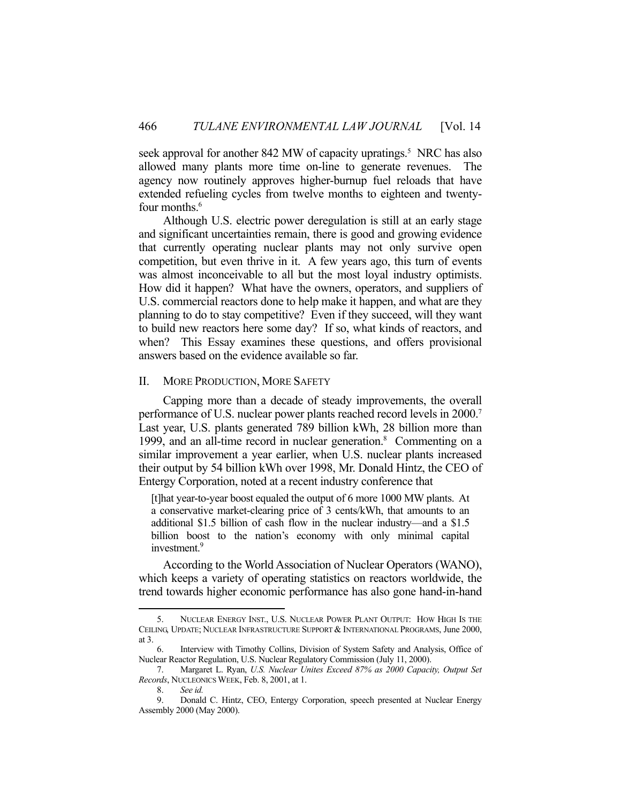seek approval for another 842 MW of capacity upratings.<sup>5</sup> NRC has also allowed many plants more time on-line to generate revenues. The agency now routinely approves higher-burnup fuel reloads that have extended refueling cycles from twelve months to eighteen and twentyfour months.<sup>6</sup>

 Although U.S. electric power deregulation is still at an early stage and significant uncertainties remain, there is good and growing evidence that currently operating nuclear plants may not only survive open competition, but even thrive in it. A few years ago, this turn of events was almost inconceivable to all but the most loyal industry optimists. How did it happen? What have the owners, operators, and suppliers of U.S. commercial reactors done to help make it happen, and what are they planning to do to stay competitive? Even if they succeed, will they want to build new reactors here some day? If so, what kinds of reactors, and when? This Essay examines these questions, and offers provisional answers based on the evidence available so far.

#### II. MORE PRODUCTION, MORE SAFETY

 Capping more than a decade of steady improvements, the overall performance of U.S. nuclear power plants reached record levels in 2000.7 Last year, U.S. plants generated 789 billion kWh, 28 billion more than 1999, and an all-time record in nuclear generation.<sup>8</sup> Commenting on a similar improvement a year earlier, when U.S. nuclear plants increased their output by 54 billion kWh over 1998, Mr. Donald Hintz, the CEO of Entergy Corporation, noted at a recent industry conference that

[t]hat year-to-year boost equaled the output of 6 more 1000 MW plants. At a conservative market-clearing price of 3 cents/kWh, that amounts to an additional \$1.5 billion of cash flow in the nuclear industry—and a \$1.5 billion boost to the nation's economy with only minimal capital investment.<sup>9</sup>

 According to the World Association of Nuclear Operators (WANO), which keeps a variety of operating statistics on reactors worldwide, the trend towards higher economic performance has also gone hand-in-hand

 <sup>5.</sup> NUCLEAR ENERGY INST., U.S. NUCLEAR POWER PLANT OUTPUT: HOW HIGH IS THE CEILING, UPDATE; NUCLEAR INFRASTRUCTURE SUPPORT & INTERNATIONAL PROGRAMS, June 2000, at 3.

 <sup>6.</sup> Interview with Timothy Collins, Division of System Safety and Analysis, Office of Nuclear Reactor Regulation, U.S. Nuclear Regulatory Commission (July 11, 2000).

 <sup>7.</sup> Margaret L. Ryan, *U.S. Nuclear Unites Exceed 87% as 2000 Capacity, Output Set Records*, NUCLEONICS WEEK, Feb. 8, 2001, at 1.

 <sup>8.</sup> *See id.* 

 <sup>9.</sup> Donald C. Hintz, CEO, Entergy Corporation, speech presented at Nuclear Energy Assembly 2000 (May 2000).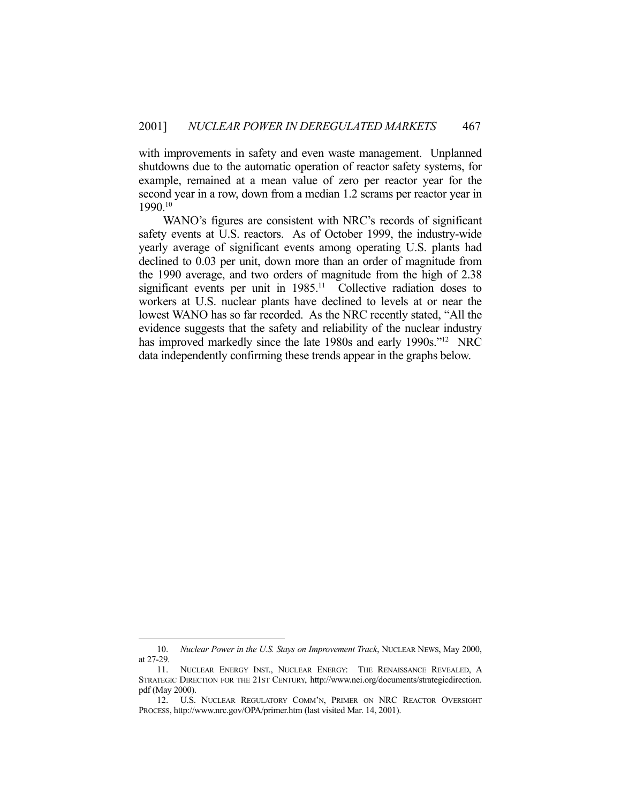with improvements in safety and even waste management. Unplanned shutdowns due to the automatic operation of reactor safety systems, for example, remained at a mean value of zero per reactor year for the second year in a row, down from a median 1.2 scrams per reactor year in 1990.10

 WANO's figures are consistent with NRC's records of significant safety events at U.S. reactors. As of October 1999, the industry-wide yearly average of significant events among operating U.S. plants had declined to 0.03 per unit, down more than an order of magnitude from the 1990 average, and two orders of magnitude from the high of 2.38 significant events per unit in 1985.<sup>11</sup> Collective radiation doses to workers at U.S. nuclear plants have declined to levels at or near the lowest WANO has so far recorded. As the NRC recently stated, "All the evidence suggests that the safety and reliability of the nuclear industry has improved markedly since the late 1980s and early 1990s."<sup>12</sup> NRC data independently confirming these trends appear in the graphs below.

 <sup>10.</sup> *Nuclear Power in the U.S. Stays on Improvement Track*, NUCLEAR NEWS, May 2000, at 27-29.

 <sup>11.</sup> NUCLEAR ENERGY INST., NUCLEAR ENERGY: THE RENAISSANCE REVEALED, A STRATEGIC DIRECTION FOR THE 21ST CENTURY, http://www.nei.org/documents/strategicdirection. pdf (May 2000).

 <sup>12.</sup> U.S. NUCLEAR REGULATORY COMM'N, PRIMER ON NRC REACTOR OVERSIGHT PROCESS, http://www.nrc.gov/OPA/primer.htm (last visited Mar. 14, 2001).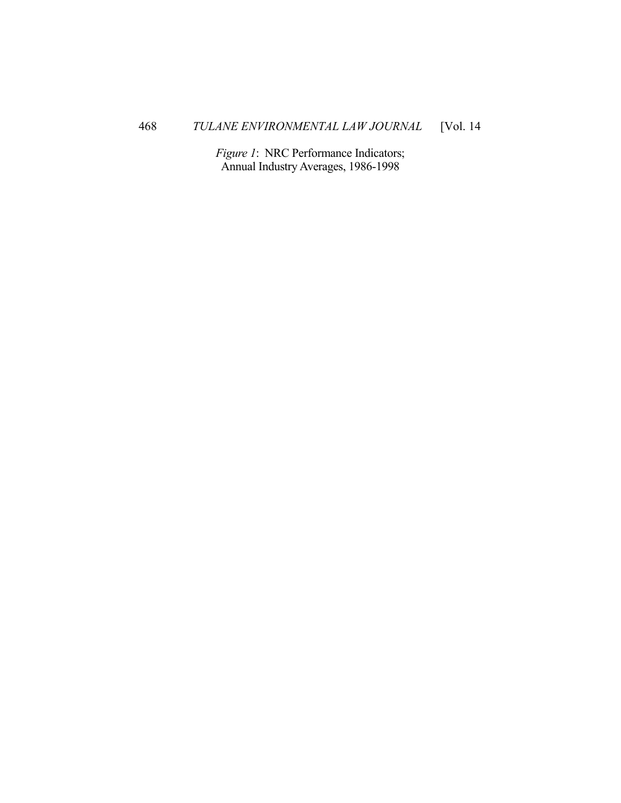*Figure 1*: NRC Performance Indicators; Annual Industry Averages, 1986-1998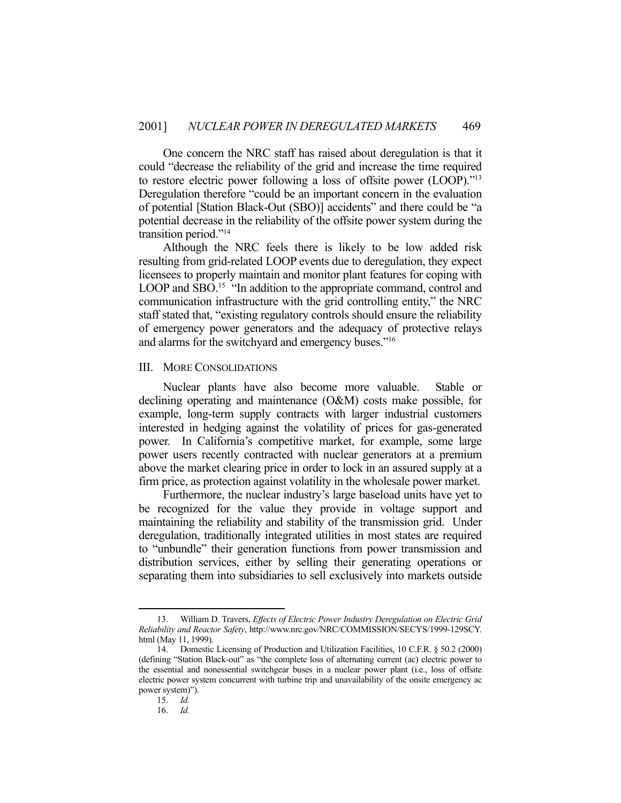One concern the NRC staff has raised about deregulation is that it could "decrease the reliability of the grid and increase the time required to restore electric power following a loss of offsite power (LOOP)."13 Deregulation therefore "could be an important concern in the evaluation of potential [Station Black-Out (SBO)] accidents" and there could be "a potential decrease in the reliability of the offsite power system during the transition period."14

 Although the NRC feels there is likely to be low added risk resulting from grid-related LOOP events due to deregulation, they expect licensees to properly maintain and monitor plant features for coping with LOOP and SBO.<sup>15</sup> "In addition to the appropriate command, control and communication infrastructure with the grid controlling entity," the NRC staff stated that, "existing regulatory controls should ensure the reliability of emergency power generators and the adequacy of protective relays and alarms for the switchyard and emergency buses."16

#### III. MORE CONSOLIDATIONS

 Nuclear plants have also become more valuable. Stable or declining operating and maintenance (O&M) costs make possible, for example, long-term supply contracts with larger industrial customers interested in hedging against the volatility of prices for gas-generated power. In California's competitive market, for example, some large power users recently contracted with nuclear generators at a premium above the market clearing price in order to lock in an assured supply at a firm price, as protection against volatility in the wholesale power market.

 Furthermore, the nuclear industry's large baseload units have yet to be recognized for the value they provide in voltage support and maintaining the reliability and stability of the transmission grid. Under deregulation, traditionally integrated utilities in most states are required to "unbundle" their generation functions from power transmission and distribution services, either by selling their generating operations or separating them into subsidiaries to sell exclusively into markets outside

 <sup>13.</sup> William D. Travers, *Effects of Electric Power Industry Deregulation on Electric Grid Reliability and Reactor Safety*, http://www.nrc.gov/NRC/COMMISSION/SECYS/1999-129SCY. html (May 11, 1999).

 <sup>14.</sup> Domestic Licensing of Production and Utilization Facilities, 10 C.F.R. § 50.2 (2000) (defining "Station Black-out" as "the complete loss of alternating current (ac) electric power to the essential and nonessential switchgear buses in a nuclear power plant (i.e., loss of offsite electric power system concurrent with turbine trip and unavailability of the onsite emergency ac power system)").

 <sup>15.</sup> *Id.*

 <sup>16.</sup> *Id.*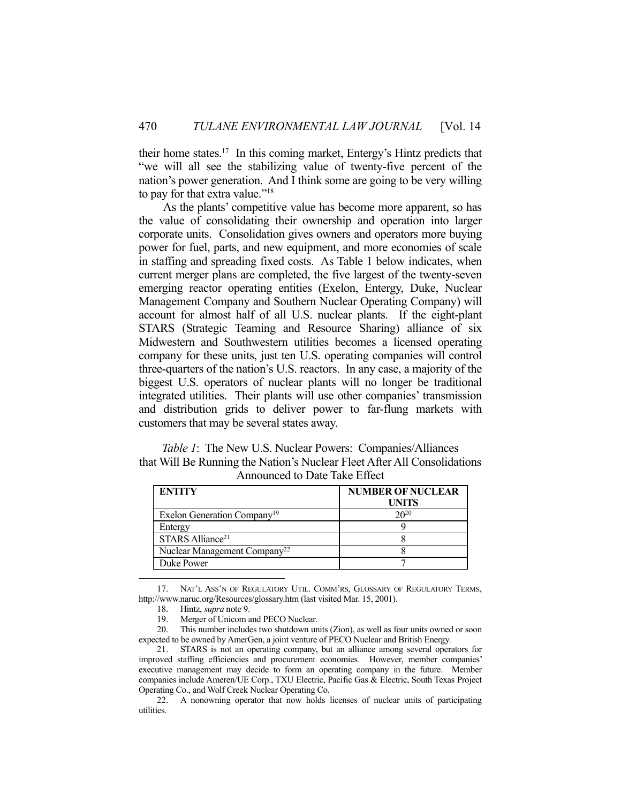their home states.<sup>17</sup> In this coming market, Entergy's Hintz predicts that "we will all see the stabilizing value of twenty-five percent of the nation's power generation. And I think some are going to be very willing to pay for that extra value."<sup>18</sup>

 As the plants' competitive value has become more apparent, so has the value of consolidating their ownership and operation into larger corporate units. Consolidation gives owners and operators more buying power for fuel, parts, and new equipment, and more economies of scale in staffing and spreading fixed costs. As Table 1 below indicates, when current merger plans are completed, the five largest of the twenty-seven emerging reactor operating entities (Exelon, Entergy, Duke, Nuclear Management Company and Southern Nuclear Operating Company) will account for almost half of all U.S. nuclear plants. If the eight-plant STARS (Strategic Teaming and Resource Sharing) alliance of six Midwestern and Southwestern utilities becomes a licensed operating company for these units, just ten U.S. operating companies will control three-quarters of the nation's U.S. reactors. In any case, a majority of the biggest U.S. operators of nuclear plants will no longer be traditional integrated utilities. Their plants will use other companies' transmission and distribution grids to deliver power to far-flung markets with customers that may be several states away.

*Table 1*: The New U.S. Nuclear Powers: Companies/Alliances that Will Be Running the Nation's Nuclear Fleet After All Consolidations Announced to Date Take Effect

| <b>ENTITY</b>                            | <b>NUMBER OF NUCLEAR</b> |
|------------------------------------------|--------------------------|
|                                          | <b>UNITS</b>             |
| Exelon Generation Company <sup>19</sup>  | $20^{20}$                |
| Entergy                                  |                          |
| STARS Alliance <sup>21</sup>             |                          |
| Nuclear Management Company <sup>22</sup> |                          |
| Duke Power                               |                          |

 17. NAT'L ASS'N OF REGULATORY UTIL. COMM'RS, GLOSSARY OF REGULATORY TERMS, http://www.naruc.org/Resources/glossary.htm (last visited Mar. 15, 2001).

 <sup>18.</sup> Hintz, *supra* note 9.

 <sup>19.</sup> Merger of Unicom and PECO Nuclear.

 <sup>20.</sup> This number includes two shutdown units (Zion), as well as four units owned or soon expected to be owned by AmerGen, a joint venture of PECO Nuclear and British Energy.

 <sup>21.</sup> STARS is not an operating company, but an alliance among several operators for improved staffing efficiencies and procurement economies. However, member companies' executive management may decide to form an operating company in the future. Member companies include Ameren/UE Corp., TXU Electric, Pacific Gas & Electric, South Texas Project Operating Co., and Wolf Creek Nuclear Operating Co.

 <sup>22.</sup> A nonowning operator that now holds licenses of nuclear units of participating utilities.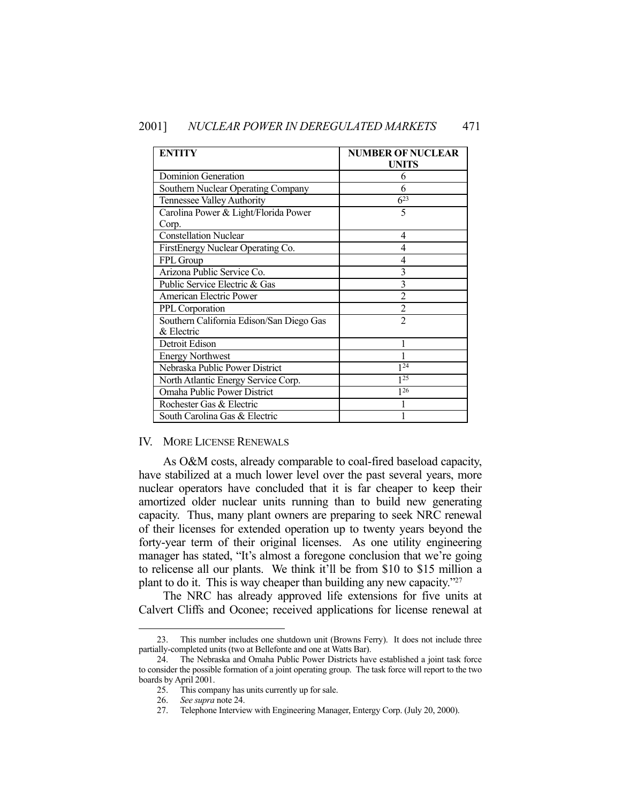| <b>ENTITY</b>                                          | <b>NUMBER OF NUCLEAR</b><br><b>UNITS</b> |
|--------------------------------------------------------|------------------------------------------|
| Dominion Generation                                    | 6                                        |
| Southern Nuclear Operating Company                     | 6                                        |
| Tennessee Valley Authority                             | $6^{23}$                                 |
| Carolina Power & Light/Florida Power<br>Corp.          | 5                                        |
| <b>Constellation Nuclear</b>                           | 4                                        |
| FirstEnergy Nuclear Operating Co.                      | 4                                        |
| FPL Group                                              | 4                                        |
| Arizona Public Service Co.                             | 3                                        |
| Public Service Electric & Gas                          | 3                                        |
| American Electric Power                                | $\mathfrak{D}$                           |
| PPL Corporation                                        | $\overline{2}$                           |
| Southern California Edison/San Diego Gas<br>& Electric | $\mathfrak{D}$                           |
| Detroit Edison                                         |                                          |
| <b>Energy Northwest</b>                                |                                          |
| Nebraska Public Power District                         | 124                                      |
| North Atlantic Energy Service Corp.                    | 125                                      |
| Omaha Public Power District                            | 126                                      |
| Rochester Gas & Electric                               |                                          |
| South Carolina Gas & Electric                          |                                          |

#### IV. MORE LICENSE RENEWALS

 As O&M costs, already comparable to coal-fired baseload capacity, have stabilized at a much lower level over the past several years, more nuclear operators have concluded that it is far cheaper to keep their amortized older nuclear units running than to build new generating capacity. Thus, many plant owners are preparing to seek NRC renewal of their licenses for extended operation up to twenty years beyond the forty-year term of their original licenses. As one utility engineering manager has stated, "It's almost a foregone conclusion that we're going to relicense all our plants. We think it'll be from \$10 to \$15 million a plant to do it. This is way cheaper than building any new capacity."27

 The NRC has already approved life extensions for five units at Calvert Cliffs and Oconee; received applications for license renewal at

 <sup>23.</sup> This number includes one shutdown unit (Browns Ferry). It does not include three partially-completed units (two at Bellefonte and one at Watts Bar).

 <sup>24.</sup> The Nebraska and Omaha Public Power Districts have established a joint task force to consider the possible formation of a joint operating group. The task force will report to the two boards by April 2001.

 <sup>25.</sup> This company has units currently up for sale.

 <sup>26.</sup> *See supra* note 24.

 <sup>27.</sup> Telephone Interview with Engineering Manager, Entergy Corp. (July 20, 2000).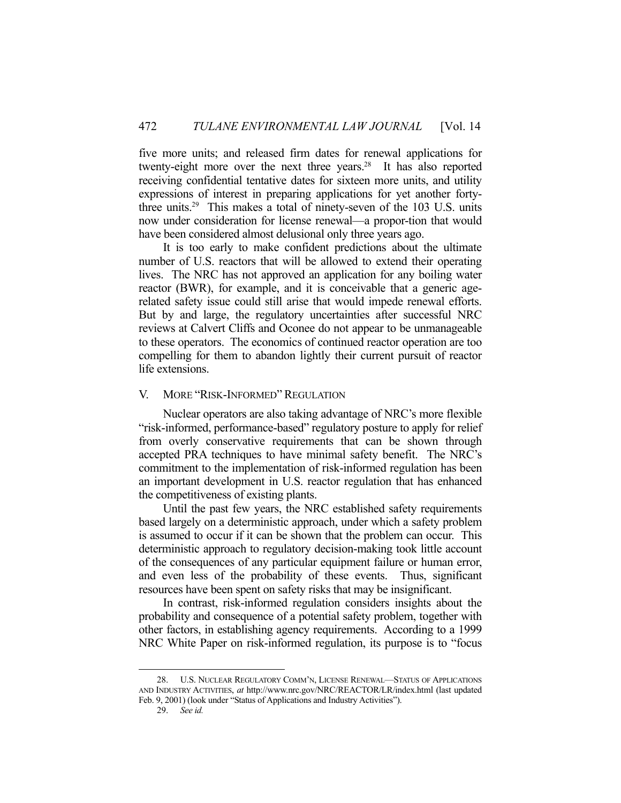five more units; and released firm dates for renewal applications for twenty-eight more over the next three years.<sup>28</sup> It has also reported receiving confidential tentative dates for sixteen more units, and utility expressions of interest in preparing applications for yet another fortythree units.29 This makes a total of ninety-seven of the 103 U.S. units now under consideration for license renewal—a propor-tion that would have been considered almost delusional only three years ago.

 It is too early to make confident predictions about the ultimate number of U.S. reactors that will be allowed to extend their operating lives. The NRC has not approved an application for any boiling water reactor (BWR), for example, and it is conceivable that a generic agerelated safety issue could still arise that would impede renewal efforts. But by and large, the regulatory uncertainties after successful NRC reviews at Calvert Cliffs and Oconee do not appear to be unmanageable to these operators. The economics of continued reactor operation are too compelling for them to abandon lightly their current pursuit of reactor life extensions.

#### V. MORE "RISK-INFORMED" REGULATION

 Nuclear operators are also taking advantage of NRC's more flexible "risk-informed, performance-based" regulatory posture to apply for relief from overly conservative requirements that can be shown through accepted PRA techniques to have minimal safety benefit. The NRC's commitment to the implementation of risk-informed regulation has been an important development in U.S. reactor regulation that has enhanced the competitiveness of existing plants.

 Until the past few years, the NRC established safety requirements based largely on a deterministic approach, under which a safety problem is assumed to occur if it can be shown that the problem can occur. This deterministic approach to regulatory decision-making took little account of the consequences of any particular equipment failure or human error, and even less of the probability of these events. Thus, significant resources have been spent on safety risks that may be insignificant.

 In contrast, risk-informed regulation considers insights about the probability and consequence of a potential safety problem, together with other factors, in establishing agency requirements. According to a 1999 NRC White Paper on risk-informed regulation, its purpose is to "focus

 <sup>28.</sup> U.S. NUCLEAR REGULATORY COMM'N, LICENSE RENEWAL—STATUS OF APPLICATIONS AND INDUSTRY ACTIVITIES, *at* http://www.nrc.gov/NRC/REACTOR/LR/index.html (last updated Feb. 9, 2001) (look under "Status of Applications and Industry Activities").

 <sup>29.</sup> *See id.*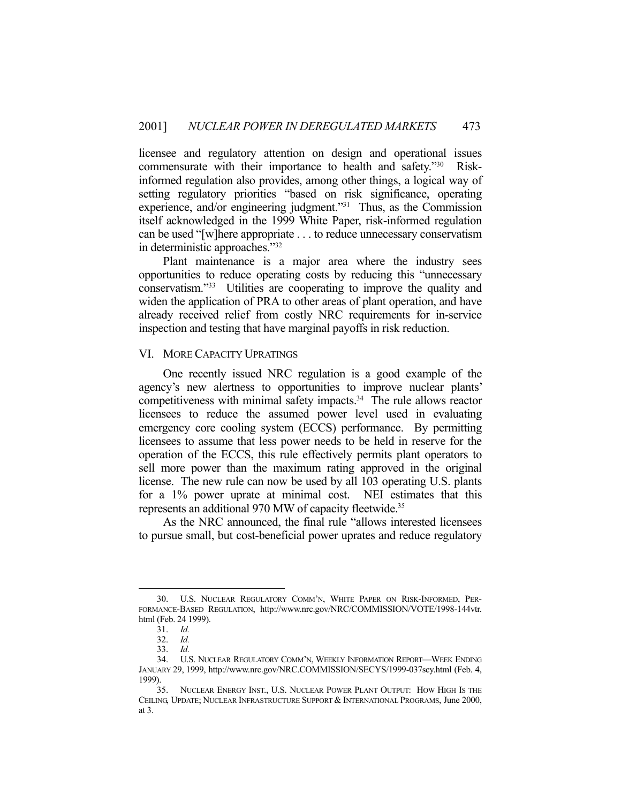licensee and regulatory attention on design and operational issues commensurate with their importance to health and safety."30 Riskinformed regulation also provides, among other things, a logical way of setting regulatory priorities "based on risk significance, operating experience, and/or engineering judgment."31 Thus, as the Commission itself acknowledged in the 1999 White Paper, risk-informed regulation can be used "[w]here appropriate . . . to reduce unnecessary conservatism in deterministic approaches."32

 Plant maintenance is a major area where the industry sees opportunities to reduce operating costs by reducing this "unnecessary conservatism."33 Utilities are cooperating to improve the quality and widen the application of PRA to other areas of plant operation, and have already received relief from costly NRC requirements for in-service inspection and testing that have marginal payoffs in risk reduction.

#### VI. MORE CAPACITY UPRATINGS

 One recently issued NRC regulation is a good example of the agency's new alertness to opportunities to improve nuclear plants' competitiveness with minimal safety impacts.<sup>34</sup> The rule allows reactor licensees to reduce the assumed power level used in evaluating emergency core cooling system (ECCS) performance. By permitting licensees to assume that less power needs to be held in reserve for the operation of the ECCS, this rule effectively permits plant operators to sell more power than the maximum rating approved in the original license. The new rule can now be used by all 103 operating U.S. plants for a 1% power uprate at minimal cost. NEI estimates that this represents an additional 970 MW of capacity fleetwide.<sup>35</sup>

 As the NRC announced, the final rule "allows interested licensees to pursue small, but cost-beneficial power uprates and reduce regulatory

 <sup>30.</sup> U.S. NUCLEAR REGULATORY COMM'N, WHITE PAPER ON RISK-INFORMED, PER-FORMANCE-BASED REGULATION, http://www.nrc.gov/NRC/COMMISSION/VOTE/1998-144vtr. html (Feb. 24 1999).

 <sup>31.</sup> *Id.*

 <sup>32.</sup> *Id.* 

 <sup>33.</sup> *Id.*

 <sup>34.</sup> U.S. NUCLEAR REGULATORY COMM'N, WEEKLY INFORMATION REPORT—WEEK ENDING JANUARY 29, 1999, http://www.nrc.gov/NRC.COMMISSION/SECYS/1999-037scy.html (Feb. 4, 1999).

 <sup>35.</sup> NUCLEAR ENERGY INST., U.S. NUCLEAR POWER PLANT OUTPUT: HOW HIGH IS THE CEILING, UPDATE; NUCLEAR INFRASTRUCTURE SUPPORT & INTERNATIONAL PROGRAMS, June 2000, at 3.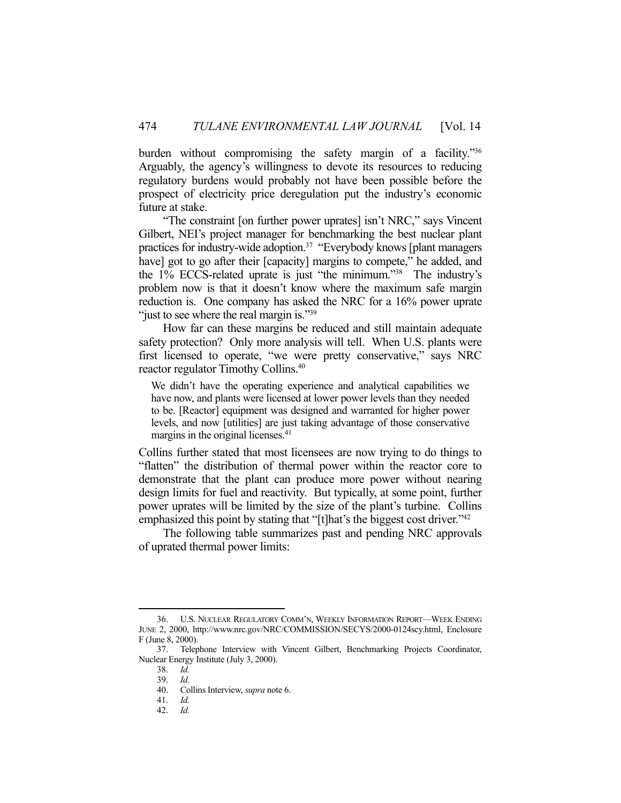burden without compromising the safety margin of a facility."<sup>36</sup> Arguably, the agency's willingness to devote its resources to reducing regulatory burdens would probably not have been possible before the prospect of electricity price deregulation put the industry's economic future at stake.

 "The constraint [on further power uprates] isn't NRC," says Vincent Gilbert, NEI's project manager for benchmarking the best nuclear plant practices for industry-wide adoption.37 "Everybody knows [plant managers have] got to go after their [capacity] margins to compete," he added, and the 1% ECCS-related uprate is just "the minimum."38 The industry's problem now is that it doesn't know where the maximum safe margin reduction is. One company has asked the NRC for a 16% power uprate "just to see where the real margin is."<sup>39</sup>

 How far can these margins be reduced and still maintain adequate safety protection? Only more analysis will tell. When U.S. plants were first licensed to operate, "we were pretty conservative," says NRC reactor regulator Timothy Collins.40

We didn't have the operating experience and analytical capabilities we have now, and plants were licensed at lower power levels than they needed to be. [Reactor] equipment was designed and warranted for higher power levels, and now [utilities] are just taking advantage of those conservative margins in the original licenses.<sup>41</sup>

Collins further stated that most licensees are now trying to do things to "flatten" the distribution of thermal power within the reactor core to demonstrate that the plant can produce more power without nearing design limits for fuel and reactivity. But typically, at some point, further power uprates will be limited by the size of the plant's turbine. Collins emphasized this point by stating that "[t]hat's the biggest cost driver."<sup>42</sup>

 The following table summarizes past and pending NRC approvals of uprated thermal power limits:

 <sup>36.</sup> U.S. NUCLEAR REGULATORY COMM'N, WEEKLY INFORMATION REPORT—WEEK ENDING JUNE 2, 2000, http://www.nrc.gov/NRC/COMMISSION/SECYS/2000-0124scy.html, Enclosure F (June 8, 2000).

 <sup>37.</sup> Telephone Interview with Vincent Gilbert, Benchmarking Projects Coordinator, Nuclear Energy Institute (July 3, 2000).

 <sup>38.</sup> *Id.* 

 <sup>39.</sup> *Id.*

 <sup>40.</sup> Collins Interview, *supra* note 6.

 <sup>41.</sup> *Id.* 

 <sup>42.</sup> *Id.*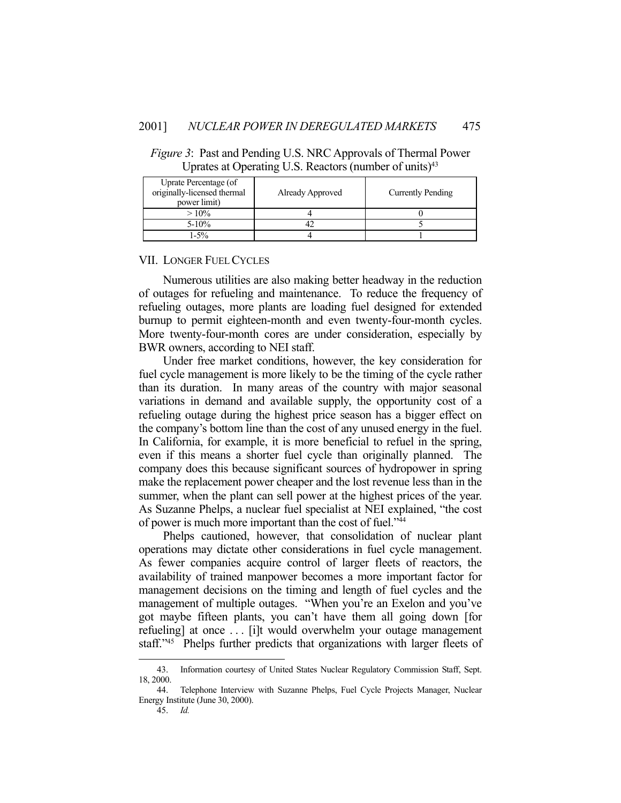| Uprate Percentage (of<br>originally-licensed thermal<br>power limit) | Already Approved | <b>Currently Pending</b> |
|----------------------------------------------------------------------|------------------|--------------------------|
| $>10\%$                                                              |                  |                          |
| $5 - 10\%$                                                           |                  |                          |
| $-5\%$                                                               |                  |                          |

*Figure 3*: Past and Pending U.S. NRC Approvals of Thermal Power Uprates at Operating U.S. Reactors (number of units) $43$ 

#### VII. LONGER FUEL CYCLES

 Numerous utilities are also making better headway in the reduction of outages for refueling and maintenance. To reduce the frequency of refueling outages, more plants are loading fuel designed for extended burnup to permit eighteen-month and even twenty-four-month cycles. More twenty-four-month cores are under consideration, especially by BWR owners, according to NEI staff.

 Under free market conditions, however, the key consideration for fuel cycle management is more likely to be the timing of the cycle rather than its duration. In many areas of the country with major seasonal variations in demand and available supply, the opportunity cost of a refueling outage during the highest price season has a bigger effect on the company's bottom line than the cost of any unused energy in the fuel. In California, for example, it is more beneficial to refuel in the spring, even if this means a shorter fuel cycle than originally planned. The company does this because significant sources of hydropower in spring make the replacement power cheaper and the lost revenue less than in the summer, when the plant can sell power at the highest prices of the year. As Suzanne Phelps, a nuclear fuel specialist at NEI explained, "the cost of power is much more important than the cost of fuel."44

 Phelps cautioned, however, that consolidation of nuclear plant operations may dictate other considerations in fuel cycle management. As fewer companies acquire control of larger fleets of reactors, the availability of trained manpower becomes a more important factor for management decisions on the timing and length of fuel cycles and the management of multiple outages. "When you're an Exelon and you've got maybe fifteen plants, you can't have them all going down [for refueling] at once . . . [i]t would overwhelm your outage management staff."45 Phelps further predicts that organizations with larger fleets of

45. *Id.*

 <sup>43.</sup> Information courtesy of United States Nuclear Regulatory Commission Staff, Sept. 18, 2000.

 <sup>44.</sup> Telephone Interview with Suzanne Phelps, Fuel Cycle Projects Manager, Nuclear Energy Institute (June 30, 2000).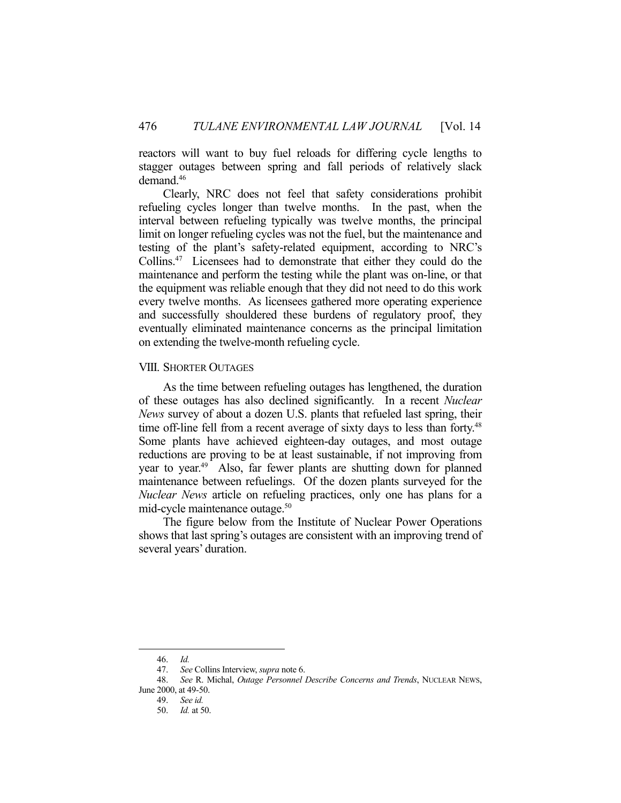reactors will want to buy fuel reloads for differing cycle lengths to stagger outages between spring and fall periods of relatively slack demand.46

 Clearly, NRC does not feel that safety considerations prohibit refueling cycles longer than twelve months. In the past, when the interval between refueling typically was twelve months, the principal limit on longer refueling cycles was not the fuel, but the maintenance and testing of the plant's safety-related equipment, according to NRC's Collins.47 Licensees had to demonstrate that either they could do the maintenance and perform the testing while the plant was on-line, or that the equipment was reliable enough that they did not need to do this work every twelve months. As licensees gathered more operating experience and successfully shouldered these burdens of regulatory proof, they eventually eliminated maintenance concerns as the principal limitation on extending the twelve-month refueling cycle.

#### VIII. SHORTER OUTAGES

 As the time between refueling outages has lengthened, the duration of these outages has also declined significantly. In a recent *Nuclear News* survey of about a dozen U.S. plants that refueled last spring, their time off-line fell from a recent average of sixty days to less than forty.<sup>48</sup> Some plants have achieved eighteen-day outages, and most outage reductions are proving to be at least sustainable, if not improving from year to year.<sup>49</sup> Also, far fewer plants are shutting down for planned maintenance between refuelings. Of the dozen plants surveyed for the *Nuclear News* article on refueling practices, only one has plans for a mid-cycle maintenance outage.50

 The figure below from the Institute of Nuclear Power Operations shows that last spring's outages are consistent with an improving trend of several years' duration.

 <sup>46.</sup> *Id.*

 <sup>47.</sup> *See* Collins Interview, *supra* note 6.

 <sup>48.</sup> *See* R. Michal, *Outage Personnel Describe Concerns and Trends*, NUCLEAR NEWS,

June 2000, at 49-50.

 <sup>49.</sup> *See id.*

 <sup>50.</sup> *Id.* at 50.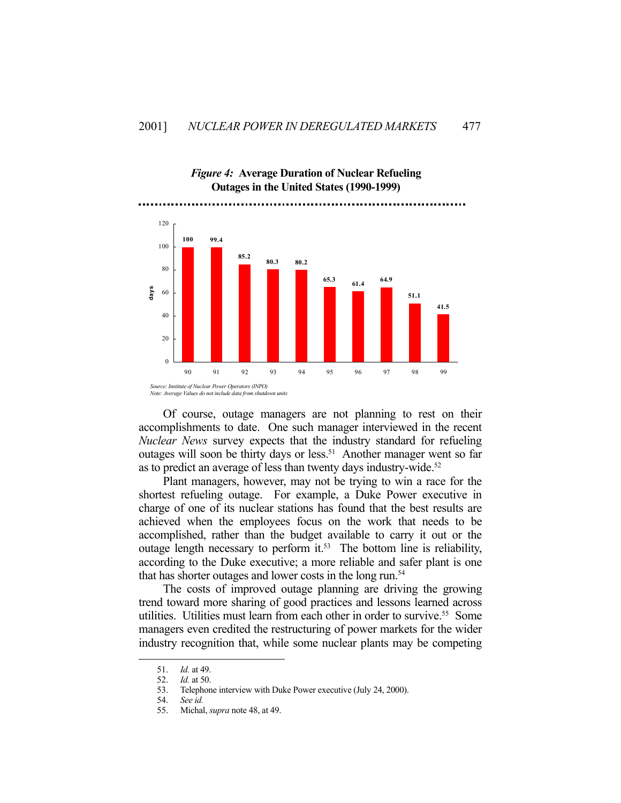

*Figure 4:* **Average Duration of Nuclear Refueling Outages in the United States (1990-1999)**

 Of course, outage managers are not planning to rest on their accomplishments to date. One such manager interviewed in the recent *Nuclear News* survey expects that the industry standard for refueling outages will soon be thirty days or less.<sup>51</sup> Another manager went so far as to predict an average of less than twenty days industry-wide. 52

 Plant managers, however, may not be trying to win a race for the shortest refueling outage. For example, a Duke Power executive in charge of one of its nuclear stations has found that the best results are achieved when the employees focus on the work that needs to be accomplished, rather than the budget available to carry it out or the outage length necessary to perform it.<sup>53</sup> The bottom line is reliability, according to the Duke executive; a more reliable and safer plant is one that has shorter outages and lower costs in the long run.<sup>54</sup>

 The costs of improved outage planning are driving the growing trend toward more sharing of good practices and lessons learned across utilities. Utilities must learn from each other in order to survive.<sup>55</sup> Some managers even credited the restructuring of power markets for the wider industry recognition that, while some nuclear plants may be competing

 <sup>51.</sup> *Id.* at 49.

 <sup>52.</sup> *Id.* at 50.

 <sup>53.</sup> Telephone interview with Duke Power executive (July 24, 2000).

 <sup>54.</sup> *See id.* 

 <sup>55.</sup> Michal, *supra* note 48, at 49.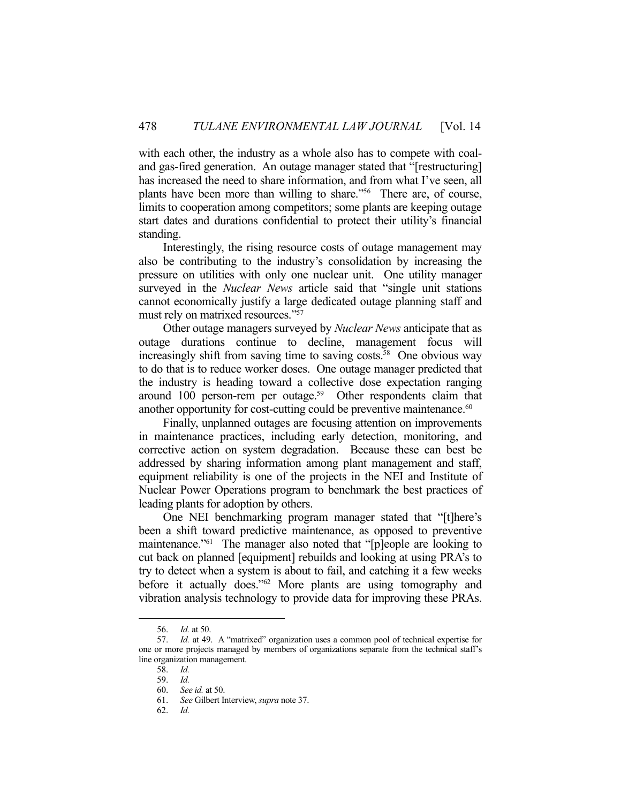with each other, the industry as a whole also has to compete with coaland gas-fired generation. An outage manager stated that "[restructuring] has increased the need to share information, and from what I've seen, all plants have been more than willing to share."56 There are, of course, limits to cooperation among competitors; some plants are keeping outage start dates and durations confidential to protect their utility's financial standing.

 Interestingly, the rising resource costs of outage management may also be contributing to the industry's consolidation by increasing the pressure on utilities with only one nuclear unit. One utility manager surveyed in the *Nuclear News* article said that "single unit stations cannot economically justify a large dedicated outage planning staff and must rely on matrixed resources."57

 Other outage managers surveyed by *Nuclear News* anticipate that as outage durations continue to decline, management focus will increasingly shift from saving time to saving costs.<sup>58</sup> One obvious way to do that is to reduce worker doses. One outage manager predicted that the industry is heading toward a collective dose expectation ranging around 100 person-rem per outage.<sup>59</sup> Other respondents claim that another opportunity for cost-cutting could be preventive maintenance.<sup>60</sup>

 Finally, unplanned outages are focusing attention on improvements in maintenance practices, including early detection, monitoring, and corrective action on system degradation. Because these can best be addressed by sharing information among plant management and staff, equipment reliability is one of the projects in the NEI and Institute of Nuclear Power Operations program to benchmark the best practices of leading plants for adoption by others.

 One NEI benchmarking program manager stated that "[t]here's been a shift toward predictive maintenance, as opposed to preventive maintenance."<sup>61</sup> The manager also noted that "[p]eople are looking to cut back on planned [equipment] rebuilds and looking at using PRA's to try to detect when a system is about to fail, and catching it a few weeks before it actually does."62 More plants are using tomography and vibration analysis technology to provide data for improving these PRAs.

 <sup>56.</sup> *Id.* at 50.

 <sup>57.</sup> *Id.* at 49. A "matrixed" organization uses a common pool of technical expertise for one or more projects managed by members of organizations separate from the technical staff's line organization management.

 <sup>58.</sup> *Id.*

 <sup>59.</sup> *Id.* 

 <sup>60.</sup> *See id.* at 50.

 <sup>61.</sup> *See* Gilbert Interview, *supra* note 37.

 <sup>62.</sup> *Id.*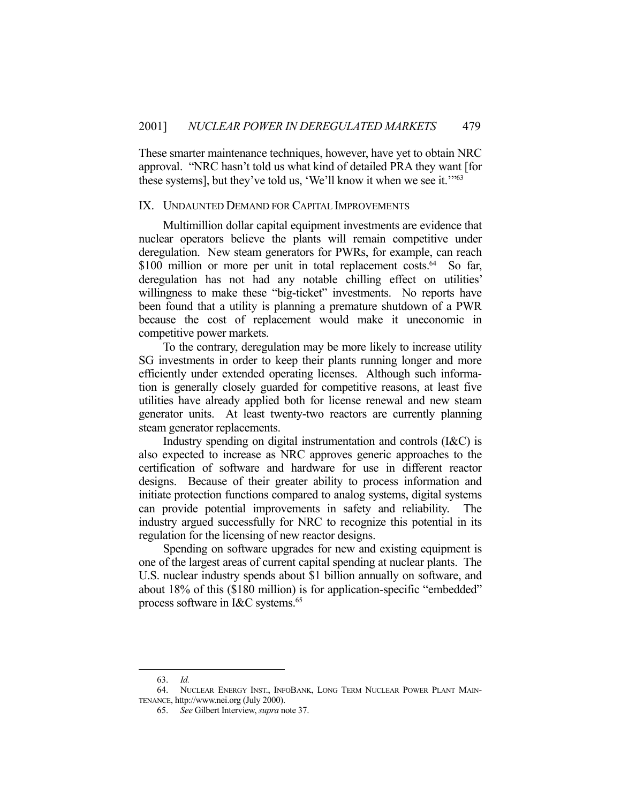These smarter maintenance techniques, however, have yet to obtain NRC approval. "NRC hasn't told us what kind of detailed PRA they want [for these systems], but they've told us, 'We'll know it when we see it.'"63

#### IX. UNDAUNTED DEMAND FOR CAPITAL IMPROVEMENTS

 Multimillion dollar capital equipment investments are evidence that nuclear operators believe the plants will remain competitive under deregulation. New steam generators for PWRs, for example, can reach \$100 million or more per unit in total replacement costs.<sup>64</sup> So far, deregulation has not had any notable chilling effect on utilities' willingness to make these "big-ticket" investments. No reports have been found that a utility is planning a premature shutdown of a PWR because the cost of replacement would make it uneconomic in competitive power markets.

 To the contrary, deregulation may be more likely to increase utility SG investments in order to keep their plants running longer and more efficiently under extended operating licenses. Although such information is generally closely guarded for competitive reasons, at least five utilities have already applied both for license renewal and new steam generator units. At least twenty-two reactors are currently planning steam generator replacements.

 Industry spending on digital instrumentation and controls (I&C) is also expected to increase as NRC approves generic approaches to the certification of software and hardware for use in different reactor designs. Because of their greater ability to process information and initiate protection functions compared to analog systems, digital systems can provide potential improvements in safety and reliability. The industry argued successfully for NRC to recognize this potential in its regulation for the licensing of new reactor designs.

 Spending on software upgrades for new and existing equipment is one of the largest areas of current capital spending at nuclear plants. The U.S. nuclear industry spends about \$1 billion annually on software, and about 18% of this (\$180 million) is for application-specific "embedded" process software in I&C systems.65

 <sup>63.</sup> *Id.*

 <sup>64.</sup> NUCLEAR ENERGY INST., INFOBANK, LONG TERM NUCLEAR POWER PLANT MAIN-TENANCE, http://www.nei.org (July 2000).

 <sup>65.</sup> *See* Gilbert Interview, *supra* note 37.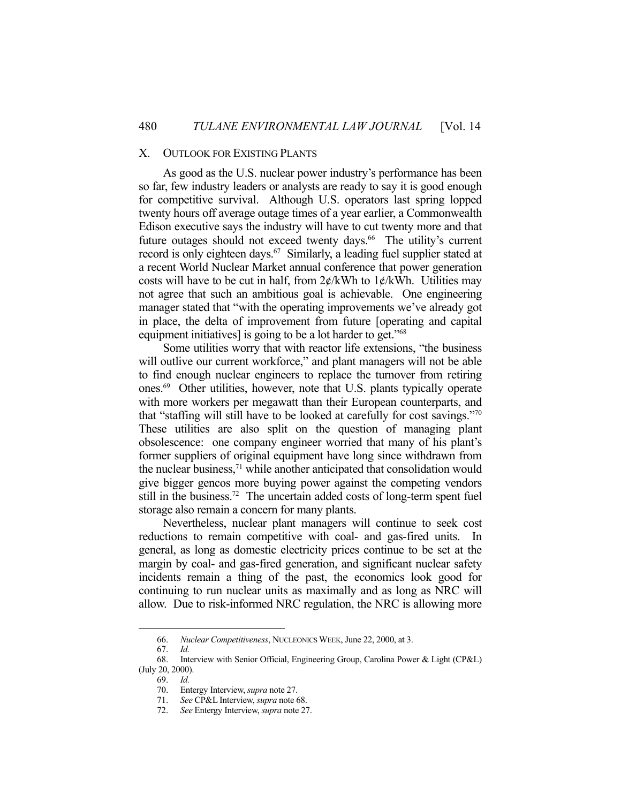#### X. OUTLOOK FOR EXISTING PLANTS

 As good as the U.S. nuclear power industry's performance has been so far, few industry leaders or analysts are ready to say it is good enough for competitive survival. Although U.S. operators last spring lopped twenty hours off average outage times of a year earlier, a Commonwealth Edison executive says the industry will have to cut twenty more and that future outages should not exceed twenty days.<sup>66</sup> The utility's current record is only eighteen days.<sup>67</sup> Similarly, a leading fuel supplier stated at a recent World Nuclear Market annual conference that power generation costs will have to be cut in half, from  $2\not\in$ /kWh to  $1\not\in$ /kWh. Utilities may not agree that such an ambitious goal is achievable. One engineering manager stated that "with the operating improvements we've already got in place, the delta of improvement from future [operating and capital equipment initiatives] is going to be a lot harder to get."<sup>68</sup>

 Some utilities worry that with reactor life extensions, "the business will outlive our current workforce," and plant managers will not be able to find enough nuclear engineers to replace the turnover from retiring ones.69 Other utilities, however, note that U.S. plants typically operate with more workers per megawatt than their European counterparts, and that "staffing will still have to be looked at carefully for cost savings."70 These utilities are also split on the question of managing plant obsolescence: one company engineer worried that many of his plant's former suppliers of original equipment have long since withdrawn from the nuclear business,71 while another anticipated that consolidation would give bigger gencos more buying power against the competing vendors still in the business.<sup>72</sup> The uncertain added costs of long-term spent fuel storage also remain a concern for many plants.

 Nevertheless, nuclear plant managers will continue to seek cost reductions to remain competitive with coal- and gas-fired units. In general, as long as domestic electricity prices continue to be set at the margin by coal- and gas-fired generation, and significant nuclear safety incidents remain a thing of the past, the economics look good for continuing to run nuclear units as maximally and as long as NRC will allow. Due to risk-informed NRC regulation, the NRC is allowing more

 <sup>66.</sup> *Nuclear Competitiveness*, NUCLEONICS WEEK, June 22, 2000, at 3.

 <sup>67.</sup> *Id.* 

 <sup>68.</sup> Interview with Senior Official, Engineering Group, Carolina Power & Light (CP&L) (July 20, 2000).

 <sup>69.</sup> *Id.*

 <sup>70.</sup> Entergy Interview, *supra* note 27.

 <sup>71.</sup> *See* CP&L Interview, *supra* note 68.

 <sup>72.</sup> *See* Entergy Interview, *supra* note 27.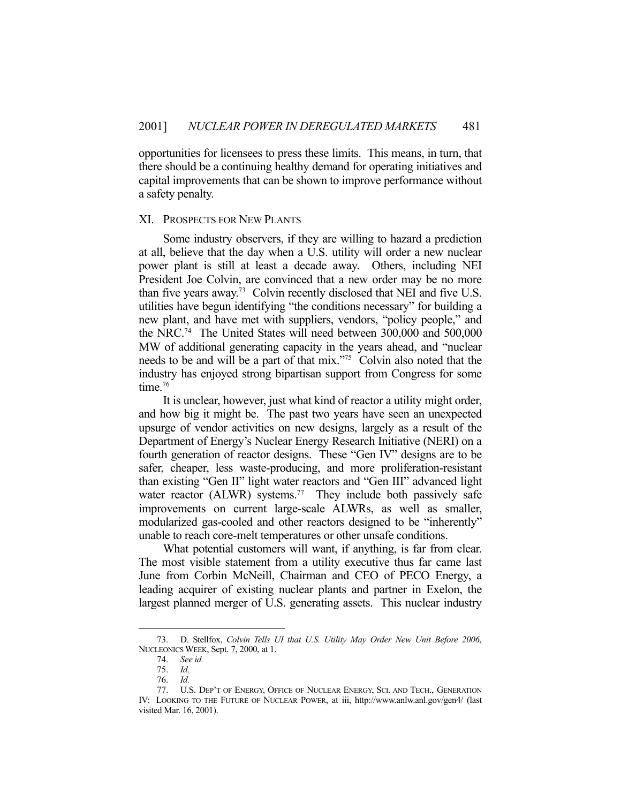opportunities for licensees to press these limits. This means, in turn, that there should be a continuing healthy demand for operating initiatives and capital improvements that can be shown to improve performance without a safety penalty.

#### XI. PROSPECTS FOR NEW PLANTS

 Some industry observers, if they are willing to hazard a prediction at all, believe that the day when a U.S. utility will order a new nuclear power plant is still at least a decade away. Others, including NEI President Joe Colvin, are convinced that a new order may be no more than five years away.73 Colvin recently disclosed that NEI and five U.S. utilities have begun identifying "the conditions necessary" for building a new plant, and have met with suppliers, vendors, "policy people," and the NRC.74 The United States will need between 300,000 and 500,000 MW of additional generating capacity in the years ahead, and "nuclear needs to be and will be a part of that mix."75 Colvin also noted that the industry has enjoyed strong bipartisan support from Congress for some time.<sup>76</sup>

 It is unclear, however, just what kind of reactor a utility might order, and how big it might be. The past two years have seen an unexpected upsurge of vendor activities on new designs, largely as a result of the Department of Energy's Nuclear Energy Research Initiative (NERI) on a fourth generation of reactor designs. These "Gen IV" designs are to be safer, cheaper, less waste-producing, and more proliferation-resistant than existing "Gen II" light water reactors and "Gen III" advanced light water reactor (ALWR) systems.<sup>77</sup> They include both passively safe improvements on current large-scale ALWRs, as well as smaller, modularized gas-cooled and other reactors designed to be "inherently" unable to reach core-melt temperatures or other unsafe conditions.

 What potential customers will want, if anything, is far from clear. The most visible statement from a utility executive thus far came last June from Corbin McNeill, Chairman and CEO of PECO Energy, a leading acquirer of existing nuclear plants and partner in Exelon, the largest planned merger of U.S. generating assets. This nuclear industry

 <sup>73.</sup> D. Stellfox, *Colvin Tells UI that U.S. Utility May Order New Unit Before 2006*, NUCLEONICS WEEK, Sept. 7, 2000, at 1.

 <sup>74.</sup> *See id.*

 <sup>75.</sup> *Id.*

 <sup>76.</sup> *Id.*

 <sup>77.</sup> U.S. DEP'T OF ENERGY, OFFICE OF NUCLEAR ENERGY, SCI. AND TECH., GENERATION IV: LOOKING TO THE FUTURE OF NUCLEAR POWER, at iii, http://www.anlw.anl.gov/gen4/ (last visited Mar. 16, 2001).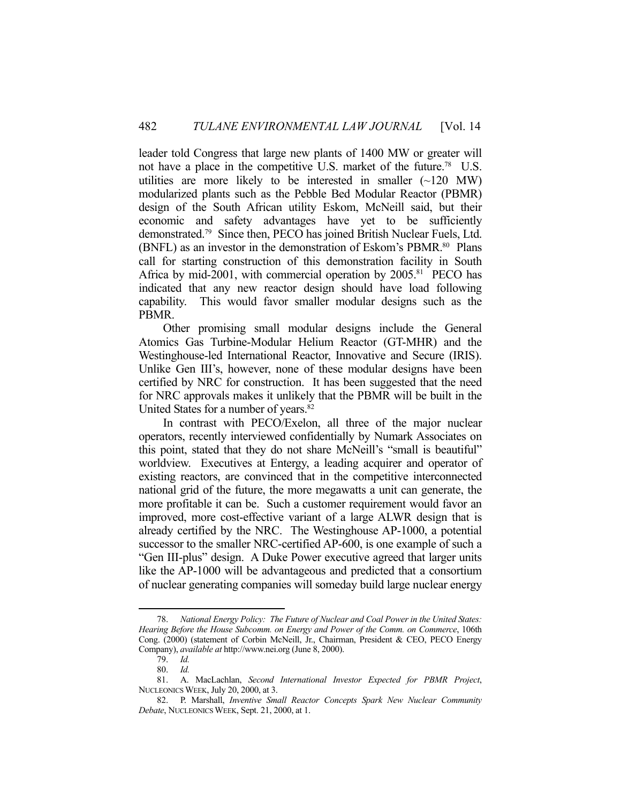leader told Congress that large new plants of 1400 MW or greater will not have a place in the competitive U.S. market of the future.<sup>78</sup> U.S. utilities are more likely to be interested in smaller  $(\sim 120 \text{ MW})$ modularized plants such as the Pebble Bed Modular Reactor (PBMR) design of the South African utility Eskom, McNeill said, but their economic and safety advantages have yet to be sufficiently demonstrated.79 Since then, PECO has joined British Nuclear Fuels, Ltd. (BNFL) as an investor in the demonstration of Eskom's PBMR.<sup>80</sup> Plans call for starting construction of this demonstration facility in South Africa by mid-2001, with commercial operation by  $2005$ .<sup>81</sup> PECO has indicated that any new reactor design should have load following capability. This would favor smaller modular designs such as the PBMR.

 Other promising small modular designs include the General Atomics Gas Turbine-Modular Helium Reactor (GT-MHR) and the Westinghouse-led International Reactor, Innovative and Secure (IRIS). Unlike Gen III's, however, none of these modular designs have been certified by NRC for construction. It has been suggested that the need for NRC approvals makes it unlikely that the PBMR will be built in the United States for a number of years.<sup>82</sup>

 In contrast with PECO/Exelon, all three of the major nuclear operators, recently interviewed confidentially by Numark Associates on this point, stated that they do not share McNeill's "small is beautiful" worldview. Executives at Entergy, a leading acquirer and operator of existing reactors, are convinced that in the competitive interconnected national grid of the future, the more megawatts a unit can generate, the more profitable it can be. Such a customer requirement would favor an improved, more cost-effective variant of a large ALWR design that is already certified by the NRC. The Westinghouse AP-1000, a potential successor to the smaller NRC-certified AP-600, is one example of such a "Gen III-plus" design. A Duke Power executive agreed that larger units like the AP-1000 will be advantageous and predicted that a consortium of nuclear generating companies will someday build large nuclear energy

 <sup>78.</sup> *National Energy Policy: The Future of Nuclear and Coal Power in the United States: Hearing Before the House Subcomm. on Energy and Power of the Comm. on Commerce*, 106th Cong. (2000) (statement of Corbin McNeill, Jr., Chairman, President & CEO, PECO Energy Company), *available at* http://www.nei.org (June 8, 2000).

 <sup>79.</sup> *Id.*

 <sup>80.</sup> *Id.*

 <sup>81.</sup> A. MacLachlan, *Second International Investor Expected for PBMR Project*, NUCLEONICS WEEK, July 20, 2000, at 3.

 <sup>82.</sup> P. Marshall, *Inventive Small Reactor Concepts Spark New Nuclear Community Debate*, NUCLEONICS WEEK, Sept. 21, 2000, at 1.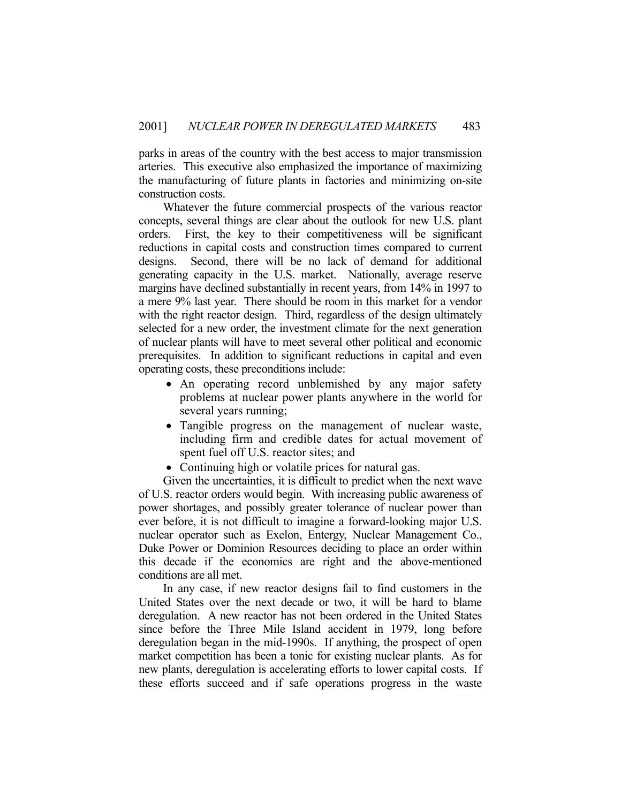parks in areas of the country with the best access to major transmission arteries. This executive also emphasized the importance of maximizing the manufacturing of future plants in factories and minimizing on-site construction costs.

 Whatever the future commercial prospects of the various reactor concepts, several things are clear about the outlook for new U.S. plant orders. First, the key to their competitiveness will be significant reductions in capital costs and construction times compared to current designs. Second, there will be no lack of demand for additional generating capacity in the U.S. market. Nationally, average reserve margins have declined substantially in recent years, from 14% in 1997 to a mere 9% last year. There should be room in this market for a vendor with the right reactor design. Third, regardless of the design ultimately selected for a new order, the investment climate for the next generation of nuclear plants will have to meet several other political and economic prerequisites. In addition to significant reductions in capital and even operating costs, these preconditions include:

- An operating record unblemished by any major safety problems at nuclear power plants anywhere in the world for several years running;
- Tangible progress on the management of nuclear waste, including firm and credible dates for actual movement of spent fuel off U.S. reactor sites; and
- Continuing high or volatile prices for natural gas.

 Given the uncertainties, it is difficult to predict when the next wave of U.S. reactor orders would begin. With increasing public awareness of power shortages, and possibly greater tolerance of nuclear power than ever before, it is not difficult to imagine a forward-looking major U.S. nuclear operator such as Exelon, Entergy, Nuclear Management Co., Duke Power or Dominion Resources deciding to place an order within this decade if the economics are right and the above-mentioned conditions are all met.

 In any case, if new reactor designs fail to find customers in the United States over the next decade or two, it will be hard to blame deregulation. A new reactor has not been ordered in the United States since before the Three Mile Island accident in 1979, long before deregulation began in the mid-1990s. If anything, the prospect of open market competition has been a tonic for existing nuclear plants. As for new plants, deregulation is accelerating efforts to lower capital costs. If these efforts succeed and if safe operations progress in the waste